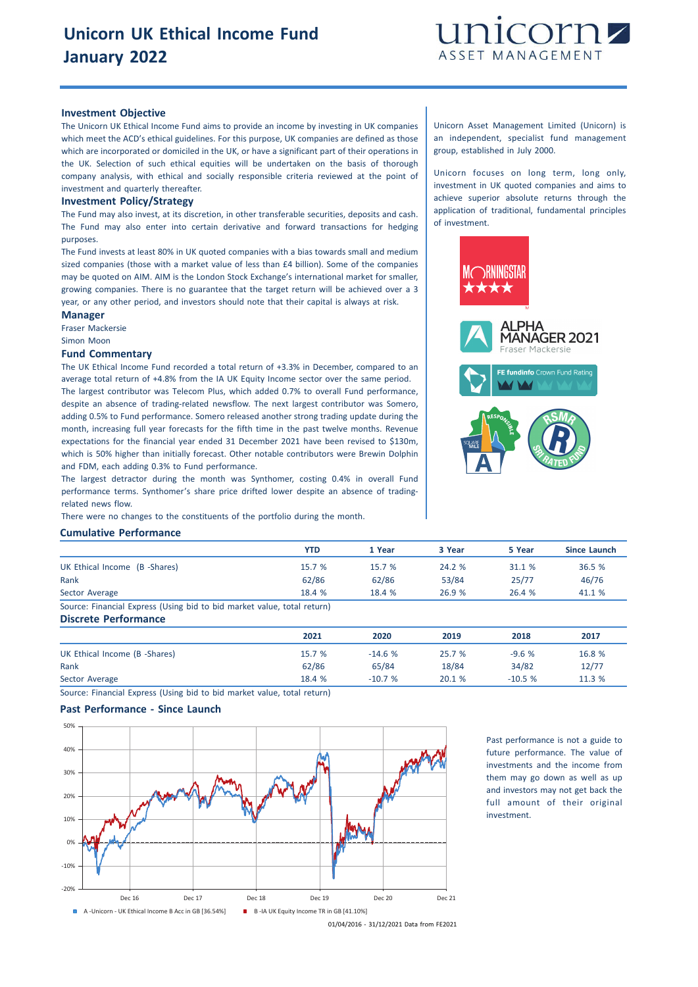

#### **Investment Objective**

The Unicorn UK Ethical Income Fund aims to provide an income by investing in UK companies which meet the ACD's ethical guidelines. For this purpose, UK companies are defined as those which are incorporated or domiciled in the UK, or have a significant part of their operations in the UK. Selection of such ethical equities will be undertaken on the basis of thorough company analysis, with ethical and socially responsible criteria reviewed at the point of investment and quarterly thereafter.

#### **Investment Policy/Strategy**

The Fund may also invest, at its discretion, in other transferable securities, deposits and cash. The Fund may also enter into certain derivative and forward transactions for hedging purposes.

The Fund invests at least 80% in UK quoted companies with a bias towards small and medium sized companies (those with a market value of less than £4 billion). Some of the companies may be quoted on AIM. AIM is the London Stock Exchange's international market for smaller, growing companies. There is no guarantee that the target return will be achieved over a 3 year, or any other period, and investors should note that their capital is always at risk.

#### **Manager**

Fraser Mackersie

Simon Moon

# **Fund Commentary**

The UK Ethical Income Fund recorded a total return of +3.3% in December, compared to an average total return of +4.8% from the IA UK Equity Income sector over the same period. The largest contributor was Telecom Plus, which added 0.7% to overall Fund performance, despite an absence of trading-related newsflow. The next largest contributor was Somero, adding 0.5% to Fund performance. Somero released another strong trading update during the month, increasing full year forecasts for the fifth time in the past twelve months. Revenue expectations for the financial year ended 31 December 2021 have been revised to \$130m, which is 50% higher than initially forecast. Other notable contributors were Brewin Dolphin and FDM, each adding 0.3% to Fund performance.

The largest detractor during the month was Synthomer, costing 0.4% in overall Fund performance terms. Synthomer's share price drifted lower despite an absence of tradingrelated news flow.

There were no changes to the constituents of the portfolio during the month.

## **Cumulative Performance**

|                                                                         | YTD    | 1 Year | 3 Year | 5 Year | Since Launch |
|-------------------------------------------------------------------------|--------|--------|--------|--------|--------------|
| UK Ethical Income (B -Shares)                                           | 15.7 % | 15.7%  | 24.2%  | 31.1 % | 36.5 %       |
| Rank                                                                    | 62/86  | 62/86  | 53/84  | 25/77  | 46/76        |
| Sector Average                                                          | 18.4 % | 18.4 % | 26.9%  | 26.4 % | 41.1 %       |
| Source: Financial Express (Using bid to bid market value, total return) |        |        |        |        |              |

**Discrete Performance 2021 2020 2019 2018 2017** UK Ethical Income (B -Shares) 15.7 % -14.6 % 25.7 % -9.6 % 16.8 % Rank 62/86 65/84 18/84 34/82 12/77 Sector Average 18.4 % -10.7 % 20.1 % -10.5 % 11.3 %

Source: Financial Express (Using bid to bid market value, total return)

# **Past Performance - Since Launch**



Past performance is not a guide to future performance. The value of investments and the income from them may go down as well as up and investors may not get back the full amount of their original investment.

01/04/2016 - 31/12/2021 Data from FE2021

Unicorn Asset Management Limited (Unicorn) is an independent, specialist fund management group, established in July 2000.

Unicorn focuses on long term, long only, investment in UK quoted companies and aims to achieve superior absolute returns through the application of traditional, fundamental principles of investment.